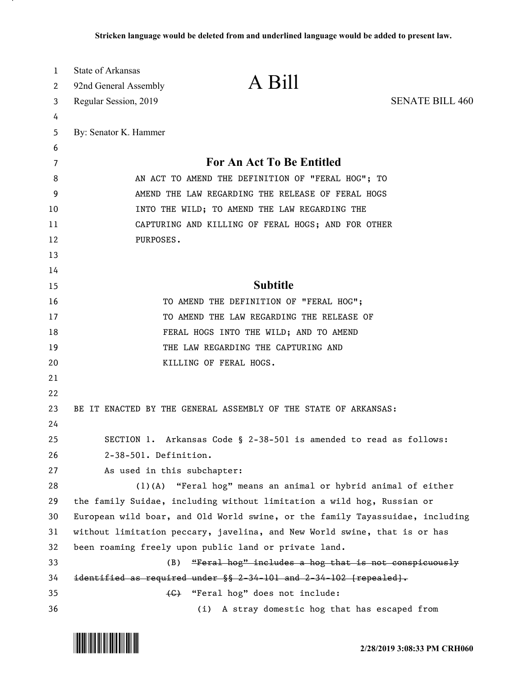| 1  | State of Arkansas                                  |                                                                               |                        |  |  |  |  |  |  |
|----|----------------------------------------------------|-------------------------------------------------------------------------------|------------------------|--|--|--|--|--|--|
| 2  | 92nd General Assembly                              | A Bill                                                                        |                        |  |  |  |  |  |  |
| 3  | Regular Session, 2019                              |                                                                               | <b>SENATE BILL 460</b> |  |  |  |  |  |  |
| 4  |                                                    |                                                                               |                        |  |  |  |  |  |  |
| 5  | By: Senator K. Hammer                              |                                                                               |                        |  |  |  |  |  |  |
| 6  |                                                    |                                                                               |                        |  |  |  |  |  |  |
| 7  |                                                    | For An Act To Be Entitled                                                     |                        |  |  |  |  |  |  |
| 8  | AN ACT TO AMEND THE DEFINITION OF "FERAL HOG"; TO  |                                                                               |                        |  |  |  |  |  |  |
| 9  | AMEND THE LAW REGARDING THE RELEASE OF FERAL HOGS  |                                                                               |                        |  |  |  |  |  |  |
| 10 | INTO THE WILD; TO AMEND THE LAW REGARDING THE      |                                                                               |                        |  |  |  |  |  |  |
| 11 | CAPTURING AND KILLING OF FERAL HOGS; AND FOR OTHER |                                                                               |                        |  |  |  |  |  |  |
| 12 | PURPOSES.                                          |                                                                               |                        |  |  |  |  |  |  |
| 13 |                                                    |                                                                               |                        |  |  |  |  |  |  |
| 14 |                                                    |                                                                               |                        |  |  |  |  |  |  |
| 15 |                                                    | <b>Subtitle</b>                                                               |                        |  |  |  |  |  |  |
| 16 |                                                    | TO AMEND THE DEFINITION OF "FERAL HOG";                                       |                        |  |  |  |  |  |  |
| 17 |                                                    | TO AMEND THE LAW REGARDING THE RELEASE OF                                     |                        |  |  |  |  |  |  |
| 18 |                                                    | FERAL HOGS INTO THE WILD; AND TO AMEND                                        |                        |  |  |  |  |  |  |
| 19 |                                                    | THE LAW REGARDING THE CAPTURING AND                                           |                        |  |  |  |  |  |  |
| 20 |                                                    | KILLING OF FERAL HOGS.                                                        |                        |  |  |  |  |  |  |
| 21 |                                                    |                                                                               |                        |  |  |  |  |  |  |
| 22 |                                                    |                                                                               |                        |  |  |  |  |  |  |
| 23 |                                                    | BE IT ENACTED BY THE GENERAL ASSEMBLY OF THE STATE OF ARKANSAS:               |                        |  |  |  |  |  |  |
| 24 |                                                    |                                                                               |                        |  |  |  |  |  |  |
| 25 |                                                    | SECTION 1. Arkansas Code § 2-38-501 is amended to read as follows:            |                        |  |  |  |  |  |  |
| 26 | 2-38-501. Definition.                              |                                                                               |                        |  |  |  |  |  |  |
| 27 | As used in this subchapter:                        |                                                                               |                        |  |  |  |  |  |  |
| 28 | $(1)$ (A)                                          | "Feral hog" means an animal or hybrid animal of either                        |                        |  |  |  |  |  |  |
| 29 |                                                    | the family Suidae, including without limitation a wild hog, Russian or        |                        |  |  |  |  |  |  |
| 30 |                                                    | European wild boar, and Old World swine, or the family Tayassuidae, including |                        |  |  |  |  |  |  |
| 31 |                                                    | without limitation peccary, javelina, and New World swine, that is or has     |                        |  |  |  |  |  |  |
| 32 |                                                    | been roaming freely upon public land or private land.                         |                        |  |  |  |  |  |  |
| 33 | (B)                                                | "Feral hog" includes a hog that is not conspicuously                          |                        |  |  |  |  |  |  |
| 34 |                                                    | identified as required under $\S$ 2-34-101 and 2-34-102 [repealed].           |                        |  |  |  |  |  |  |
| 35 |                                                    | (G) "Feral hog" does not include:                                             |                        |  |  |  |  |  |  |
| 36 |                                                    | A stray domestic hog that has escaped from<br>(i)                             |                        |  |  |  |  |  |  |

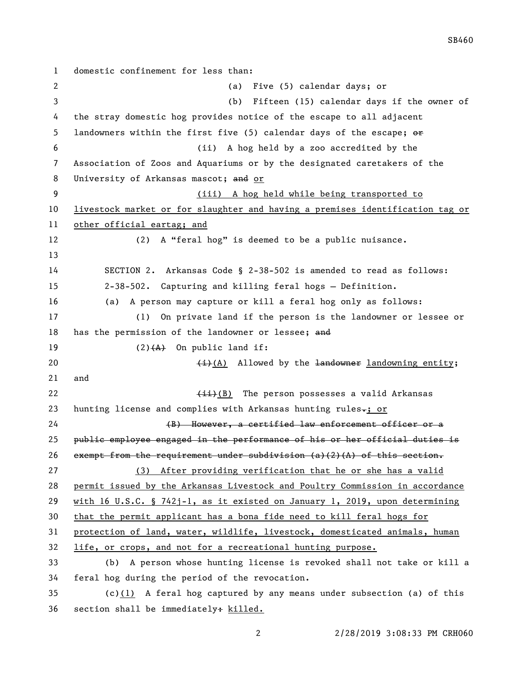domestic confinement for less than: (a) Five (5) calendar days; or (b) Fifteen (15) calendar days if the owner of the stray domestic hog provides notice of the escape to all adjacent 5 landowners within the first five (5) calendar days of the escape;  $\Theta$  (ii) A hog held by a zoo accredited by the Association of Zoos and Aquariums or by the designated caretakers of the 8 University of Arkansas mascot; and or (iii) A hog held while being transported to livestock market or for slaughter and having a premises identification tag or other official eartag; and (2) A "feral hog" is deemed to be a public nuisance. SECTION 2. Arkansas Code § 2-38-502 is amended to read as follows: 2-38-502. Capturing and killing feral hogs — Definition. (a) A person may capture or kill a feral hog only as follows: (1) On private land if the person is the landowner or lessee or 18 has the permission of the landowner or lessee; and  $(2)$   $(A)$  On public land if:  $\leftarrow$  (i)(A) Allowed by the landowner landowning entity; and 22 Contract Contract Contract Contract Contract Contract Contract Contract Contract Contract Contract Contract Contract Contract Contract Contract Contract Contract Contract Contract Contract Contract Contract Contract Con 23 hunting license and complies with Arkansas hunting rules $\frac{1}{10}$  or 24 (B) However, a certified law enforcement officer or a public employee engaged in the performance of his or her official duties is 26 exempt from the requirement under subdivision  $(a)$  (2)(A) of this section. (3) After providing verification that he or she has a valid permit issued by the Arkansas Livestock and Poultry Commission in accordance with 16 U.S.C. § 742j-1, as it existed on January 1, 2019, upon determining that the permit applicant has a bona fide need to kill feral hogs for protection of land, water, wildlife, livestock, domesticated animals, human life, or crops, and not for a recreational hunting purpose. (b) A person whose hunting license is revoked shall not take or kill a feral hog during the period of the revocation. (c)(1) A feral hog captured by any means under subsection (a) of this section shall be immediately: killed.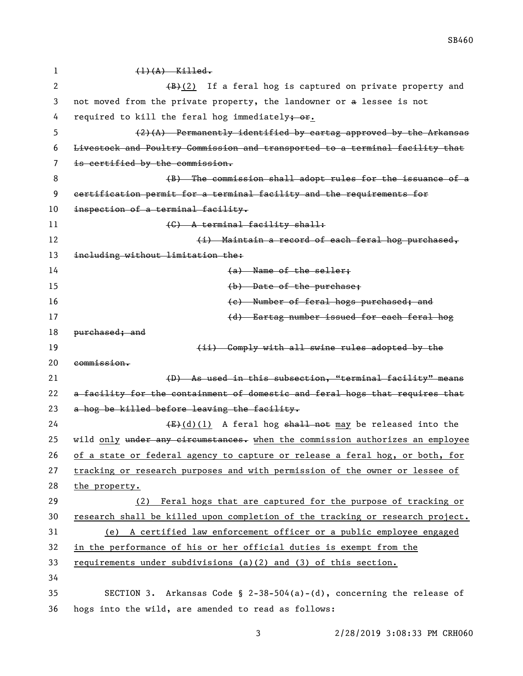$(1)$   $(A)$  Killed. 2 (B)(2) If a feral hog is captured on private property and not moved from the private property, the landowner or a lessee is not 4 required to kill the feral hog immediately; or.  $(2)(A)$  Permanently identified by eartag approved by the Arkansas Livestock and Poultry Commission and transported to a terminal facility that is certified by the commission. **8 (B)** The commission shall adopt rules for the issuance of a certification permit for a terminal facility and the requirements for 10 inspection of a terminal facility. 11 (C) A terminal facility shall: **(i)** Maintain a record of each feral hog purchased, including without limitation the: 14 and 14 and 14 and 14 and 14 and 14 and 14 and 14 and 14 and 14 and 14 and 14 and 14 and 14 and 14 and 14 and 14 and 14 and 14 and 14 and 14 and 14 and 14 and 14 and 14 and 14 and 14 and 14 and 14 and 14 and 14 and 14 an **(b)** Date of the purchase; (c) Number of feral hogs purchased; and (d) Eartag number issued for each feral hog 18 <del>purchased; and</del> **19 Example 2 EXECUTE:** Comply with all swine rules adopted by the commission. (D) As used in this subsection, "terminal facility" means 22 a facility for the containment of domestic and feral hogs that requires that 23 a hog be killed before leaving the facility.  $(E)+(d)(1)$  A feral hog shall not may be released into the 25 wild only under any circumstances. when the commission authorizes an employee 26 of a state or federal agency to capture or release a feral hog, or both, for tracking or research purposes and with permission of the owner or lessee of the property. (2) Feral hogs that are captured for the purpose of tracking or 30 research shall be killed upon completion of the tracking or research project. (e) A certified law enforcement officer or a public employee engaged in the performance of his or her official duties is exempt from the requirements under subdivisions (a)(2) and (3) of this section. SECTION 3. Arkansas Code § 2-38-504(a)-(d), concerning the release of hogs into the wild, are amended to read as follows:

SB460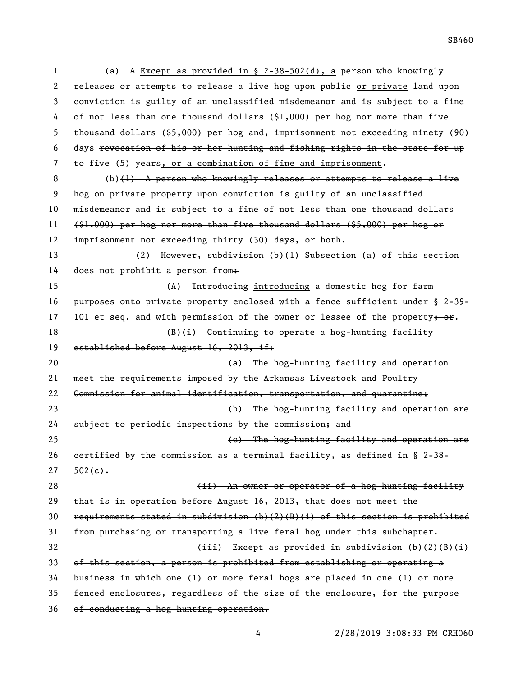(a) A Except as provided in § 2-38-502(d), a person who knowingly releases or attempts to release a live hog upon public or private land upon conviction is guilty of an unclassified misdemeanor and is subject to a fine of not less than one thousand dollars (\$1,000) per hog nor more than five 5 thousand dollars (\$5,000) per hog and, imprisonment not exceeding ninety (90) days revocation of his or her hunting and fishing rights in the state for up 7 to five (5) years, or a combination of fine and imprisonment. (b)(1) A person who knowingly releases or attempts to release a live hog on private property upon conviction is guilty of an unclassified misdemeanor and is subject to a fine of not less than one thousand dollars (\$1,000) per hog nor more than five thousand dollars (\$5,000) per hog or 12 imprisonment not exceeding thirty (30) days, or both. 13 (2) However, subdivision (b)(1) Subsection (a) of this section 14 does not prohibit a person from. 15 (A) Introducing introducing a domestic hog for farm purposes onto private property enclosed with a fence sufficient under § 2-39- 17 101 et seq. and with permission of the owner or lessee of the property; or. 18 (B)(i) Continuing to operate a hog-hunting facility 19 established before August 16, 2013, if: (a) The hog-hunting facility and operation meet the requirements imposed by the Arkansas Livestock and Poultry Commission for animal identification, transportation, and quarantine; (b) The hog-hunting facility and operation are subject to periodic inspections by the commission; and (c) The hog-hunting facility and operation are certified by the commission as a terminal facility, as defined in § 2-38-  $27 \frac{502(e)}{e}$ 28 (ii) An owner or operator of a hog-hunting facility that is in operation before August 16, 2013, that does not meet the requirements stated in subdivision (b)(2)(B)(i) of this section is prohibited from purchasing or transporting a live feral hog under this subchapter.  $(iii)$  Except as provided in subdivision  $(b)(2)(B)(i)$  of this section, a person is prohibited from establishing or operating a business in which one (1) or more feral hogs are placed in one (1) or more fenced enclosures, regardless of the size of the enclosure, for the purpose

of conducting a hog-hunting operation.

SB460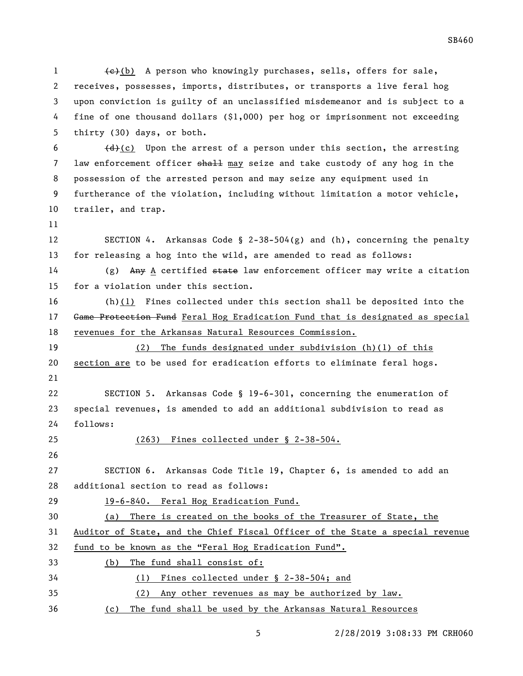1 (e)(b) A person who knowingly purchases, sells, offers for sale, receives, possesses, imports, distributes, or transports a live feral hog upon conviction is guilty of an unclassified misdemeanor and is subject to a fine of one thousand dollars (\$1,000) per hog or imprisonment not exceeding thirty (30) days, or both. (d)(c) Upon the arrest of a person under this section, the arresting 7 law enforcement officer shall may seize and take custody of any hog in the possession of the arrested person and may seize any equipment used in furtherance of the violation, including without limitation a motor vehicle, trailer, and trap. SECTION 4. Arkansas Code § 2-38-504(g) and (h), concerning the penalty for releasing a hog into the wild, are amended to read as follows: (g) Any A certified state law enforcement officer may write a citation for a violation under this section. (h)(1) Fines collected under this section shall be deposited into the 17 Game Protection Fund Feral Hog Eradication Fund that is designated as special revenues for the Arkansas Natural Resources Commission. (2) The funds designated under subdivision (h)(1) of this section are to be used for eradication efforts to eliminate feral hogs. SECTION 5. Arkansas Code § 19-6-301, concerning the enumeration of special revenues, is amended to add an additional subdivision to read as follows: (263) Fines collected under § 2-38-504. SECTION 6. Arkansas Code Title 19, Chapter 6, is amended to add an additional section to read as follows: 29 19-6-840. Feral Hog Eradication Fund. (a) There is created on the books of the Treasurer of State, the Auditor of State, and the Chief Fiscal Officer of the State a special revenue fund to be known as the "Feral Hog Eradication Fund". (b) The fund shall consist of: 34 (1) Fines collected under § 2-38-504; and 35 (2) Any other revenues as may be authorized by law. (c) The fund shall be used by the Arkansas Natural Resources

SB460

2/28/2019 3:08:33 PM CRH060